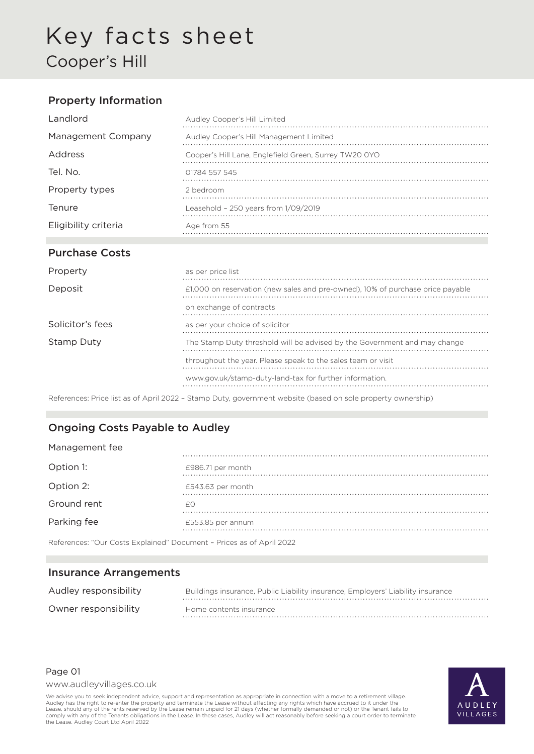# Key facts sheet Cooper's Hill

### Property Information

| Landlord             | Audley Cooper's Hill Limited                          |
|----------------------|-------------------------------------------------------|
| Management Company   | Audley Cooper's Hill Management Limited               |
| Address              | Cooper's Hill Lane, Englefield Green, Surrey TW20 0YO |
| Tel. No.             | 01784 557 545                                         |
| Property types       | 2 bedroom                                             |
| Tenure               | Leasehold - $250$ years from $1/09/2019$              |
| Eligibility criteria | Age from 55                                           |
|                      |                                                       |

## Purchase Costs

| as per price list                                                              |
|--------------------------------------------------------------------------------|
| £1,000 on reservation (new sales and pre-owned), 10% of purchase price payable |
| on exchange of contracts                                                       |
| as per your choice of solicitor                                                |
| The Stamp Duty threshold will be advised by the Government and may change      |
| throughout the year. Please speak to the sales team or visit                   |
| www.gov.uk/stamp-duty-land-tax for further information.                        |
|                                                                                |

References: Price list as of April 2022 – Stamp Duty, government website (based on sole property ownership)

### Ongoing Costs Payable to Audley

| Management fee |                   |
|----------------|-------------------|
| Option 1:      | £986.71 per month |
| Option 2:      | £543.63 per month |
| Ground rent    | fΩ                |
| Parking fee    | £553.85 per annum |

References: "Our Costs Explained" Document – Prices as of April 2022

#### Insurance Arrangements

| Audley responsibility | Buildings insurance, Public Liability insurance, Employers' Liability insurance |
|-----------------------|---------------------------------------------------------------------------------|
| Owner responsibility  | Home contents insurance                                                         |

#### Page 01

www.audleyvillages.co.uk

We advise you to seek independent advice, support and representation as appropriate in connection with a move to a retirement village. Audley has the right to re-enter the property and terminate the Lease without affecting any rights which have accrued to it under the<br>Lease, should any of the rents reserved by the Lease remain unpaid for 21 days (whether comply with any of the Tenants obligations in the Lease. In these cases, Audley will act reasonably before seeking a court order to terminate the Lease. Audley Court Ltd April 2022